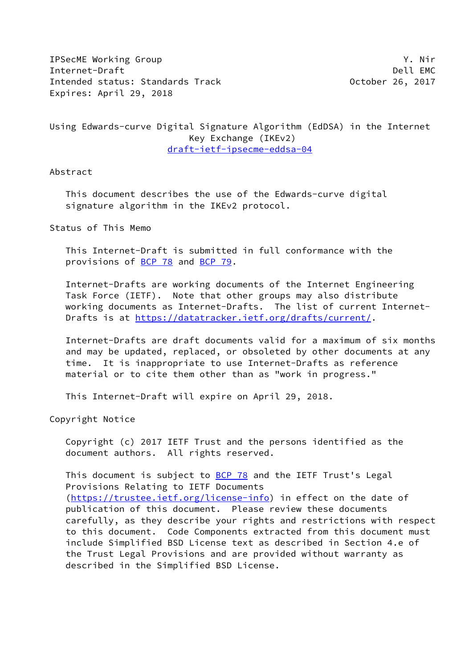IPSecME Working Group Y. Nir Internet-Draft Dell EMC Intended status: Standards Track **Canadian Contract Contract Contract** October 26, 2017 Expires: April 29, 2018

# Using Edwards-curve Digital Signature Algorithm (EdDSA) in the Internet Key Exchange (IKEv2) [draft-ietf-ipsecme-eddsa-04](https://datatracker.ietf.org/doc/pdf/draft-ietf-ipsecme-eddsa-04)

### Abstract

 This document describes the use of the Edwards-curve digital signature algorithm in the IKEv2 protocol.

Status of This Memo

 This Internet-Draft is submitted in full conformance with the provisions of [BCP 78](https://datatracker.ietf.org/doc/pdf/bcp78) and [BCP 79](https://datatracker.ietf.org/doc/pdf/bcp79).

 Internet-Drafts are working documents of the Internet Engineering Task Force (IETF). Note that other groups may also distribute working documents as Internet-Drafts. The list of current Internet Drafts is at<https://datatracker.ietf.org/drafts/current/>.

 Internet-Drafts are draft documents valid for a maximum of six months and may be updated, replaced, or obsoleted by other documents at any time. It is inappropriate to use Internet-Drafts as reference material or to cite them other than as "work in progress."

This Internet-Draft will expire on April 29, 2018.

Copyright Notice

 Copyright (c) 2017 IETF Trust and the persons identified as the document authors. All rights reserved.

This document is subject to **[BCP 78](https://datatracker.ietf.org/doc/pdf/bcp78)** and the IETF Trust's Legal Provisions Relating to IETF Documents [\(https://trustee.ietf.org/license-info](https://trustee.ietf.org/license-info)) in effect on the date of publication of this document. Please review these documents carefully, as they describe your rights and restrictions with respect to this document. Code Components extracted from this document must include Simplified BSD License text as described in Section 4.e of the Trust Legal Provisions and are provided without warranty as described in the Simplified BSD License.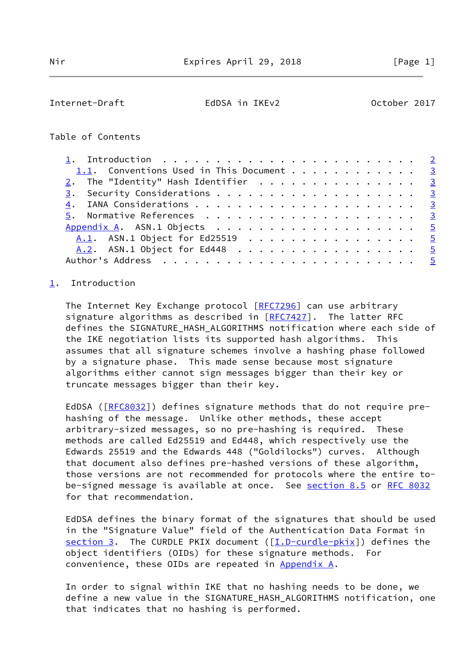<span id="page-1-1"></span>Internet-Draft EdDSA in IKEv2 October 2017

### Table of Contents

| 1.1. Conventions Used in This Document 3 |  |
|------------------------------------------|--|
| 2. The "Identity" Hash Identifier 3      |  |
|                                          |  |
|                                          |  |
|                                          |  |
|                                          |  |
| A.1. ASN.1 Object for Ed25519 5          |  |
| A.2. ASN.1 Object for Ed448 5            |  |
|                                          |  |

#### <span id="page-1-0"></span>[1](#page-1-0). Introduction

The Internet Key Exchange protocol [[RFC7296\]](https://datatracker.ietf.org/doc/pdf/rfc7296) can use arbitrary signature algorithms as described in  $[RFC7427]$  $[RFC7427]$ . The latter RFC defines the SIGNATURE\_HASH\_ALGORITHMS notification where each side of the IKE negotiation lists its supported hash algorithms. This assumes that all signature schemes involve a hashing phase followed by a signature phase. This made sense because most signature algorithms either cannot sign messages bigger than their key or truncate messages bigger than their key.

 EdDSA ([\[RFC8032](https://datatracker.ietf.org/doc/pdf/rfc8032)]) defines signature methods that do not require pre hashing of the message. Unlike other methods, these accept arbitrary-sized messages, so no pre-hashing is required. These methods are called Ed25519 and Ed448, which respectively use the Edwards 25519 and the Edwards 448 ("Goldilocks") curves. Although that document also defines pre-hashed versions of these algorithm, those versions are not recommended for protocols where the entire to- be-signed message is available at once. See section 8.5 or [RFC 8032](https://datatracker.ietf.org/doc/pdf/rfc8032) for that recommendation.

 EdDSA defines the binary format of the signatures that should be used in the "Signature Value" field of the Authentication Data Format in [section 3](#page-2-3). The CURDLE PKIX document  $([I.D-curdle-pkix])$  $([I.D-curdle-pkix])$  $([I.D-curdle-pkix])$  defines the object identifiers (OIDs) for these signature methods. For convenience, these OIDs are repeated in [Appendix A](#page-4-0).

 In order to signal within IKE that no hashing needs to be done, we define a new value in the SIGNATURE\_HASH\_ALGORITHMS notification, one that indicates that no hashing is performed.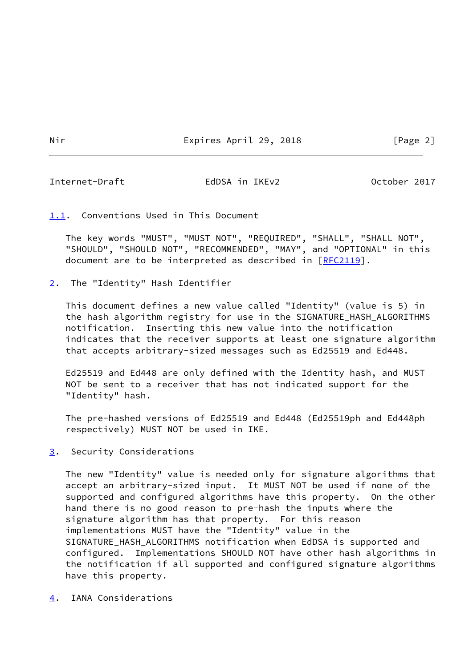<span id="page-2-1"></span>Internet-Draft EdDSA in IKEv2 October 2017

## <span id="page-2-0"></span>[1.1](#page-2-0). Conventions Used in This Document

 The key words "MUST", "MUST NOT", "REQUIRED", "SHALL", "SHALL NOT", "SHOULD", "SHOULD NOT", "RECOMMENDED", "MAY", and "OPTIONAL" in this document are to be interpreted as described in [\[RFC2119](https://datatracker.ietf.org/doc/pdf/rfc2119)].

<span id="page-2-2"></span>[2](#page-2-2). The "Identity" Hash Identifier

 This document defines a new value called "Identity" (value is 5) in the hash algorithm registry for use in the SIGNATURE\_HASH\_ALGORITHMS notification. Inserting this new value into the notification indicates that the receiver supports at least one signature algorithm that accepts arbitrary-sized messages such as Ed25519 and Ed448.

 Ed25519 and Ed448 are only defined with the Identity hash, and MUST NOT be sent to a receiver that has not indicated support for the "Identity" hash.

 The pre-hashed versions of Ed25519 and Ed448 (Ed25519ph and Ed448ph respectively) MUST NOT be used in IKE.

<span id="page-2-3"></span>[3](#page-2-3). Security Considerations

 The new "Identity" value is needed only for signature algorithms that accept an arbitrary-sized input. It MUST NOT be used if none of the supported and configured algorithms have this property. On the other hand there is no good reason to pre-hash the inputs where the signature algorithm has that property. For this reason implementations MUST have the "Identity" value in the SIGNATURE\_HASH\_ALGORITHMS notification when EdDSA is supported and configured. Implementations SHOULD NOT have other hash algorithms in the notification if all supported and configured signature algorithms have this property.

<span id="page-2-4"></span>[4](#page-2-4). IANA Considerations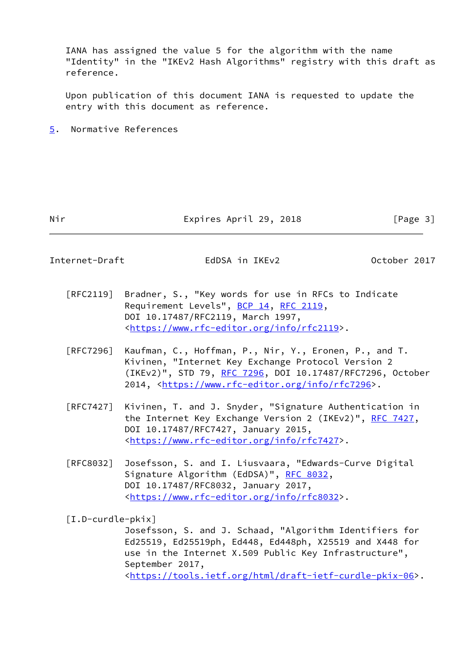IANA has assigned the value 5 for the algorithm with the name "Identity" in the "IKEv2 Hash Algorithms" registry with this draft as reference.

 Upon publication of this document IANA is requested to update the entry with this document as reference.

<span id="page-3-0"></span>[5](#page-3-0). Normative References

Nir **Expires April 29, 2018** [Page 3]

Internet-Draft EdDSA in IKEv2 October 2017

- [RFC2119] Bradner, S., "Key words for use in RFCs to Indicate Requirement Levels", [BCP 14](https://datatracker.ietf.org/doc/pdf/bcp14), [RFC 2119](https://datatracker.ietf.org/doc/pdf/rfc2119), DOI 10.17487/RFC2119, March 1997, <[https://www.rfc-editor.org/info/rfc2119>](https://www.rfc-editor.org/info/rfc2119).
- [RFC7296] Kaufman, C., Hoffman, P., Nir, Y., Eronen, P., and T. Kivinen, "Internet Key Exchange Protocol Version 2 (IKEv2)", STD 79, [RFC 7296](https://datatracker.ietf.org/doc/pdf/rfc7296), DOI 10.17487/RFC7296, October 2014, [<https://www.rfc-editor.org/info/rfc7296](https://www.rfc-editor.org/info/rfc7296)>.
- [RFC7427] Kivinen, T. and J. Snyder, "Signature Authentication in the Internet Key Exchange Version 2 (IKEv2)", [RFC 7427](https://datatracker.ietf.org/doc/pdf/rfc7427), DOI 10.17487/RFC7427, January 2015, <[https://www.rfc-editor.org/info/rfc7427>](https://www.rfc-editor.org/info/rfc7427).
- [RFC8032] Josefsson, S. and I. Liusvaara, "Edwards-Curve Digital Signature Algorithm (EdDSA)", [RFC 8032](https://datatracker.ietf.org/doc/pdf/rfc8032), DOI 10.17487/RFC8032, January 2017, <[https://www.rfc-editor.org/info/rfc8032>](https://www.rfc-editor.org/info/rfc8032).

<span id="page-3-1"></span>[I.D-curdle-pkix]

 Josefsson, S. and J. Schaad, "Algorithm Identifiers for Ed25519, Ed25519ph, Ed448, Ed448ph, X25519 and X448 for use in the Internet X.509 Public Key Infrastructure", September 2017, <[https://tools.ietf.org/html/draft-ietf-curdle-pkix-06>](https://tools.ietf.org/html/draft-ietf-curdle-pkix-06).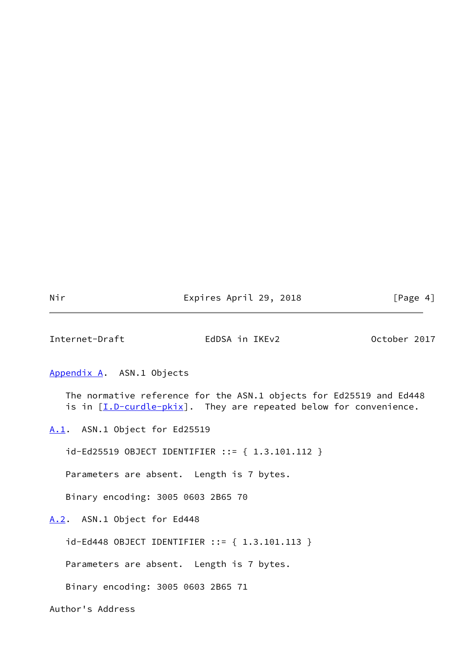Nir **Expires April 29, 2018** [Page 4]

<span id="page-4-1"></span>Internet-Draft EdDSA in IKEv2 October 2017

<span id="page-4-0"></span>[Appendix A.](#page-4-0) ASN.1 Objects

 The normative reference for the ASN.1 objects for Ed25519 and Ed448 is in  $[\underline{I.D-curdle-pkix}]$  $[\underline{I.D-curdle-pkix}]$  $[\underline{I.D-curdle-pkix}]$ . They are repeated below for convenience.

<span id="page-4-2"></span>[A.1](#page-4-2). ASN.1 Object for Ed25519

id-Ed25519 OBJECT IDENTIFIER ::= { 1.3.101.112 }

Parameters are absent. Length is 7 bytes.

Binary encoding: 3005 0603 2B65 70

<span id="page-4-3"></span>[A.2](#page-4-3). ASN.1 Object for Ed448

id-Ed448 OBJECT IDENTIFIER ::= { 1.3.101.113 }

Parameters are absent. Length is 7 bytes.

Binary encoding: 3005 0603 2B65 71

Author's Address